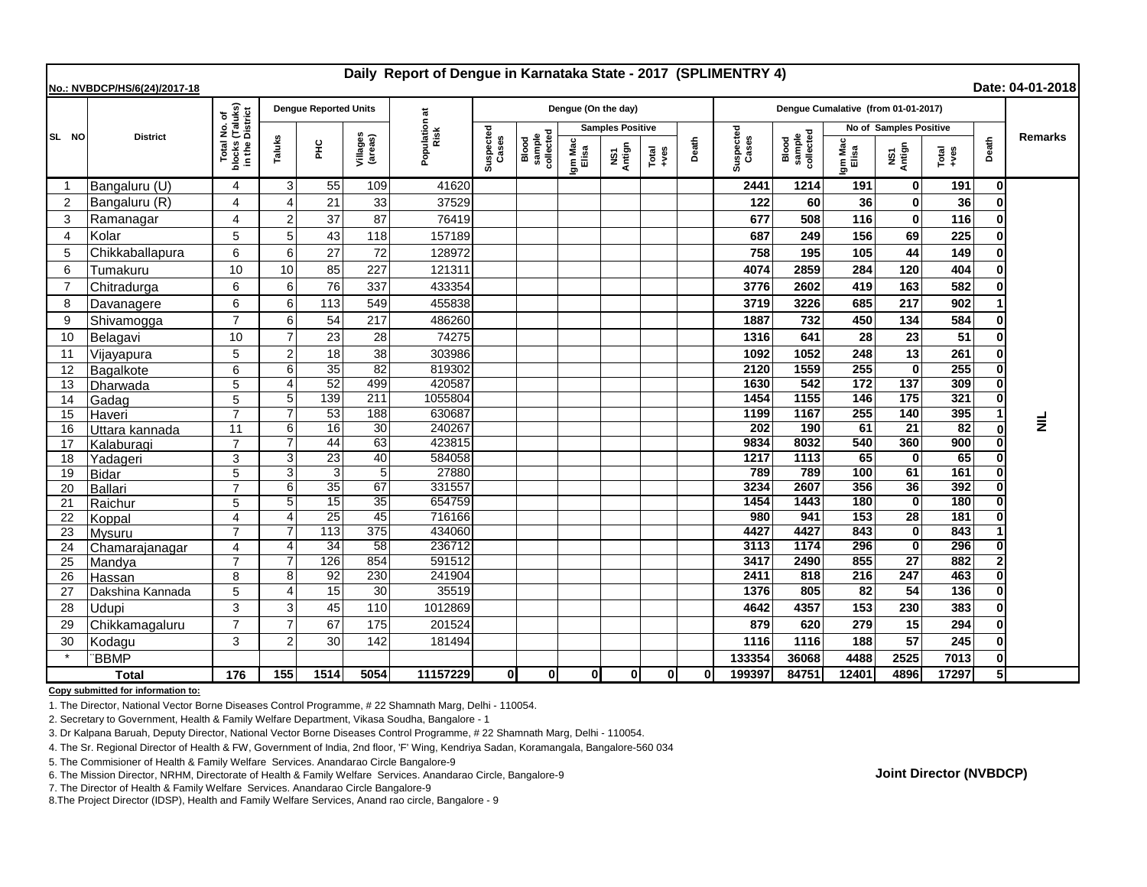| Daily Report of Dengue in Karnataka State - 2017 (SPLIMENTRY 4)<br>Date: 04-01-2018<br>No.: NVBDCP/HS/6(24)/2017-18 |                  |                                                                     |                       |                              |                     |                       |                    |                              |                         |               |               |       |                                     |                              |                        |                    |                 |       |                 |
|---------------------------------------------------------------------------------------------------------------------|------------------|---------------------------------------------------------------------|-----------------------|------------------------------|---------------------|-----------------------|--------------------|------------------------------|-------------------------|---------------|---------------|-------|-------------------------------------|------------------------------|------------------------|--------------------|-----------------|-------|-----------------|
|                                                                                                                     | <b>District</b>  | l No. of<br>(Taluks)<br>District<br>Total I<br>blocks (<br>in the D |                       | <b>Dengue Reported Units</b> |                     |                       |                    |                              | Dengue (On the day)     |               |               |       | Dengue Cumalative (from 01-01-2017) |                              |                        |                    |                 |       |                 |
| SL NO                                                                                                               |                  |                                                                     |                       |                              |                     | Population at<br>Risk |                    | sample<br>collected<br>Blood | <b>Samples Positive</b> |               |               |       |                                     |                              | No of Samples Positive |                    |                 |       |                 |
|                                                                                                                     |                  |                                                                     | Taluks                | 울                            | Villages<br>(areas) |                       | Suspected<br>Cases |                              | Igm Mac<br>Elisa        | NS1<br>Antign | Total<br>+ves | Death | Suspected<br>Cases                  | Blood<br>sample<br>collected | Igm Mac<br>Elisa       | NS1<br>Antign      | Total<br>+ves   | Death | <b>Remarks</b>  |
| -1                                                                                                                  | Bangaluru (U)    | 4                                                                   | 3                     | 55                           | 109                 | 41620                 |                    |                              |                         |               |               |       | 2441                                | 1214                         | 191                    | $\bf{0}$           | 191             | 0     |                 |
| 2                                                                                                                   | Bangaluru (R)    | 4                                                                   | Δ                     | 21                           | 33                  | 37529                 |                    |                              |                         |               |               |       | 122                                 | 60                           | 36                     | $\bf{0}$           | 36              |       |                 |
| 3                                                                                                                   | Ramanagar        | 4                                                                   | $\overline{2}$        | 37                           | 87                  | 76419                 |                    |                              |                         |               |               |       | 677                                 | 508                          | 116                    | $\mathbf{0}$       | 116             |       |                 |
| $\overline{4}$                                                                                                      | Kolar            | 5                                                                   | 5                     | 43                           | 118                 | 157189                |                    |                              |                         |               |               |       | 687                                 | 249                          | 156                    | 69                 | 225             |       |                 |
| 5                                                                                                                   | Chikkaballapura  | 6                                                                   | 6                     | 27                           | 72                  | 128972                |                    |                              |                         |               |               |       | 758                                 | 195                          | 105                    | 44                 | 149             |       |                 |
| 6                                                                                                                   | Tumakuru         | 10                                                                  | 10                    | 85                           | 227                 | 121311                |                    |                              |                         |               |               |       | 4074                                | 2859                         | 284                    | 120                | 404             |       |                 |
| $\overline{7}$                                                                                                      | Chitradurga      | 6                                                                   | 6                     | 76                           | 337                 | 433354                |                    |                              |                         |               |               |       | 3776                                | 2602                         | 419                    | 163                | 582             |       |                 |
| 8                                                                                                                   | Davanagere       | 6                                                                   | 6                     | 113                          | 549                 | 455838                |                    |                              |                         |               |               |       | 3719                                | 3226                         | 685                    | 217                | 902             |       |                 |
| 9                                                                                                                   | Shivamogga       | $\overline{7}$                                                      | 6                     | 54                           | 217                 | 486260                |                    |                              |                         |               |               |       | 1887                                | 732                          | 450                    | 134                | 584             |       |                 |
| 10                                                                                                                  | Belagavi         | 10                                                                  |                       | 23                           | 28                  | 74275                 |                    |                              |                         |               |               |       | 1316                                | 641                          | 28                     | 23                 | 51              |       |                 |
| 11                                                                                                                  | Vijayapura       | 5                                                                   | $\overline{2}$        | 18                           | 38                  | 303986                |                    |                              |                         |               |               |       | 1092                                | 1052                         | 248                    | 13                 | 261             |       |                 |
| 12                                                                                                                  | Bagalkote        | 6                                                                   | 6                     | 35                           | 82                  | 819302                |                    |                              |                         |               |               |       | 2120                                | 1559                         | 255                    | $\bf{0}$           | 255             |       |                 |
| 13                                                                                                                  | <b>IDharwada</b> | 5                                                                   | Δ                     | 52                           | 499                 | 420587                |                    |                              |                         |               |               |       | 1630                                | 542                          | 172                    | 137                | 309             |       |                 |
| 14                                                                                                                  | Gadag            | 5                                                                   | 5                     | 139                          | 211                 | 1055804               |                    |                              |                         |               |               |       | 1454                                | 1155                         | 146                    | 175                | 321             |       |                 |
| 15                                                                                                                  | Haveri           | $\overline{7}$                                                      | 7                     | 53                           | 188                 | 630687                |                    |                              |                         |               |               |       | 1199                                | 1167                         | 255                    | 140                | 395             |       | $\bar{\bar{z}}$ |
| 16                                                                                                                  | Uttara kannada   | 11                                                                  | 6                     | 16                           | 30                  | 240267                |                    |                              |                         |               |               |       | 202                                 | 190                          | 61                     | 21                 | $\overline{82}$ |       |                 |
| 17                                                                                                                  | Kalaburagi       | $\overline{7}$                                                      | $\overline{7}$        | 44                           | 63                  | 423815                |                    |                              |                         |               |               |       | 9834                                | 8032                         | 540                    | 360                | 900             |       |                 |
| 18                                                                                                                  | Yadageri         | 3                                                                   | 3                     | 23                           | 40                  | 584058                |                    |                              |                         |               |               |       | 1217                                | 1113                         | 65                     | $\mathbf 0$        | 65              |       |                 |
| 19                                                                                                                  | <b>Bidar</b>     | 5                                                                   | 3                     | 3                            | 5                   | 27880                 |                    |                              |                         |               |               |       | 789                                 | 789                          | 100                    | 61                 | 161             |       |                 |
| 20                                                                                                                  | Ballari          | $\overline{7}$                                                      | 6                     | 35                           | 67                  | 331557                |                    |                              |                         |               |               |       | 3234                                | 2607                         | 356                    | 36                 | 392             |       |                 |
| 21                                                                                                                  | Raichur          | 5                                                                   | 5                     | 15                           | 35                  | 654759                |                    |                              |                         |               |               |       | 1454                                | 1443                         | 180                    | $\mathbf{0}$       | 180             |       |                 |
| 22                                                                                                                  | Koppal           | $\overline{\mathbf{4}}$                                             | $\boldsymbol{\Delta}$ | $\overline{25}$<br>113       | 45<br>375           | 716166                |                    |                              |                         |               |               |       | 980<br>4427                         | 941<br>4427                  | 153<br>843             | 28<br>$\mathbf{0}$ | 181<br>843      |       |                 |
| 23                                                                                                                  | Mysuru           | $\overline{7}$                                                      |                       | 34                           | 58                  | 434060<br>236712      |                    |                              |                         |               |               |       | 3113                                | 1174                         | 296                    | $\mathbf{0}$       | 296             |       |                 |
| 24<br>25                                                                                                            | Chamarajanagar   | 4                                                                   |                       | 126                          | 854                 | 591512                |                    |                              |                         |               |               |       | 3417                                | 2490                         | 855                    | $\overline{27}$    | 882             |       |                 |
| 26                                                                                                                  | Mandya<br>Hassan | 8                                                                   | 8                     | 92                           | 230                 | 241904                |                    |                              |                         |               |               |       | 2411                                | 818                          | 216                    | 247                | 463             |       |                 |
| 27                                                                                                                  | Dakshina Kannada | 5                                                                   | $\Delta$              | 15                           | 30                  | 35519                 |                    |                              |                         |               |               |       | 1376                                | 805                          | 82                     | 54                 | 136             |       |                 |
| 28                                                                                                                  | Udupi            | 3                                                                   | 3                     | 45                           | 110                 | 1012869               |                    |                              |                         |               |               |       | 4642                                | 4357                         | 153                    | 230                | 383             |       |                 |
| 29                                                                                                                  | Chikkamagaluru   | $\overline{7}$                                                      |                       | 67                           | 175                 | 201524                |                    |                              |                         |               |               |       | 879                                 | 620                          | 279                    | 15                 | 294             |       |                 |
| 30                                                                                                                  | Kodagu           | 3                                                                   | $\overline{2}$        | 30                           | 142                 | 181494                |                    |                              |                         |               |               |       | 1116                                | 1116                         | 188                    | 57                 | 245             |       |                 |
|                                                                                                                     | <b>BBMP</b>      |                                                                     |                       |                              |                     |                       |                    |                              |                         |               |               |       | 133354                              | 36068                        | 4488                   | 2525               | 7013            |       |                 |
| <b>Total</b>                                                                                                        |                  | 176                                                                 | 155                   | 1514                         | 5054                | 11157229              | 0                  | 0l                           | 0l                      | 0l            | οl            | ΩI    | 199397                              | 84751                        | 12401                  | 4896               | 17297           | 5     |                 |

**Copy submitted for information to:**

1. The Director, National Vector Borne Diseases Control Programme, # 22 Shamnath Marg, Delhi - 110054.

2. Secretary to Government, Health & Family Welfare Department, Vikasa Soudha, Bangalore - 1

3. Dr Kalpana Baruah, Deputy Director, National Vector Borne Diseases Control Programme, # 22 Shamnath Marg, Delhi - 110054.

4. The Sr. Regional Director of Health & FW, Government of India, 2nd floor, 'F' Wing, Kendriya Sadan, Koramangala, Bangalore-560 034

5. The Commisioner of Health & Family Welfare Services. Anandarao Circle Bangalore-9

6. The Mission Director, NRHM, Directorate of Health & Family Welfare Services. Anandarao Circle, Bangalore-9

7. The Director of Health & Family Welfare Services. Anandarao Circle Bangalore-9

8.The Project Director (IDSP), Health and Family Welfare Services, Anand rao circle, Bangalore - 9

**Joint Director (NVBDCP)**